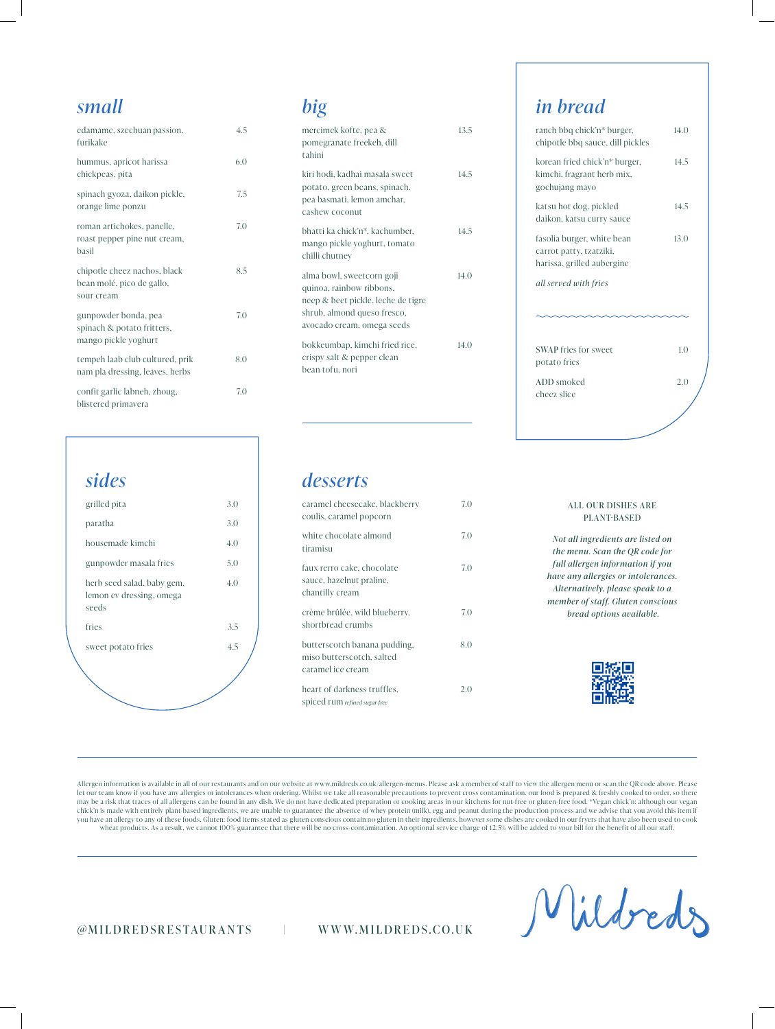#### *small*

| edamame, szechuan passion,<br>furikake                                     | 4.5 |
|----------------------------------------------------------------------------|-----|
| hummus, apricot harissa<br>chickpeas, pita                                 | 6.0 |
| spinach gyoza, daikon pickle,<br>orange lime ponzu                         | 7.5 |
| roman artichokes, panelle,<br>roast pepper pine nut cream,<br>basil        | 7.0 |
| chipotle cheez nachos, black<br>bean molé, pico de gallo,<br>sour cream    | 8.5 |
| gunpowder bonda, pea<br>spinach & potato fritters,<br>mango pickle yoghurt | 7.0 |
| tempeh laab club cultured, prik<br>nam pla dressing, leaves, herbs         | 8.0 |
| confit garlic labneh, zhoug,<br>blistered primavera                        | 7.0 |

#### *sides* grilled pita 3.0 paratha 3.0 housemade kimchi 4.0

| gunpowder masala fries                                          | 5.0 |
|-----------------------------------------------------------------|-----|
| herb seed salad, baby gem,<br>lemon ev dressing, omega<br>seeds | 4.0 |
| fries                                                           | 3.5 |
| sweet potato fries                                              | 4.5 |
|                                                                 |     |

#### *big*

| mercimek kofte, pea &<br>pomegranate freekeh, dill<br>tahini                                                                                             | 13.5 |
|----------------------------------------------------------------------------------------------------------------------------------------------------------|------|
| kiri hodi, kadhai masala sweet<br>potato, green beans, spinach,<br>pea basmati, lemon amchar,<br>cashew coconut                                          | 14.5 |
| bhatti ka chick'n*, kachumber,<br>mango pickle yoghurt, tomato<br>chilli chutney                                                                         | 14.5 |
| alma bowl, sweetcorn goji<br>quinoa, rainbow ribbons,<br>neep & beet pickle, leche de tigre<br>shrub, almond queso fresco,<br>avocado cream, omega seeds | 14.0 |
| bokkeumbap, kimchi fried rice,<br>crispy salt & pepper clean<br>bean tofu, nori                                                                          | 14.O |

#### *in bread*

| ranch bbq chick'n* burger,<br>chipotle bbq sauce, dill pickles                      | 14.0 |
|-------------------------------------------------------------------------------------|------|
| korean fried chick'n* burger,<br>kimchi, fragrant herb mix,<br>gochujang mayo       | 14.5 |
| katsu hot dog, pickled<br>daikon, katsu curry sauce                                 | 14.5 |
| fasolia burger, white bean<br>carrot patty, tzatziki,<br>harissa, grilled aubergine | 13.0 |
| all served with fries                                                               |      |
|                                                                                     |      |
| <b>SWAP</b> fries for sweet<br>potato fries                                         | 1.0  |
| ADD smoked<br>cheez slice                                                           | 2.0  |
|                                                                                     |      |

#### *desserts*

| caramel cheesecake, blackberry<br>coulis, caramel popcorn                      | 7.0 |
|--------------------------------------------------------------------------------|-----|
| white chocolate almond<br>tiramisu                                             | 7.0 |
| faux rerro cake, chocolate<br>sauce, hazelnut praline,<br>chantilly cream      | 7.0 |
| crème brûlée, wild blueberry,<br>shortbread crumbs                             | 7.0 |
| butterscotch banana pudding,<br>miso butterscotch, salted<br>caramel ice cream | 8.0 |
| heart of darkness truffles,<br>spiced rum refined sugar free                   | 2.C |

#### ALL OUR DISHES ARE PLANT-BASED

*Not all ingredients are listed on the menu. Scan the QR code for full allergen information if you have any allergies or intolerances. Alternatively, please speak to a member of staff. Gluten conscious bread options available.*



Allergen information is available in all of our restaurants and on our website at www.mildreds.co.uk/allergen-menus. Please ask a member of staff to view the allergen menu or scan the QR code above. Please let our team know if you have any allergies or intolerances when ordering. Whilst we take all reasonable precautions to prevent cross contamination, our food is prepared & freshly cooked to order, so there may be a risk that traces of all allergens can be found in any dish. We do not have dedicated preparation or cooking areas in our kitchens for nut-free or gluten-free food. \*Vegan chick'n: although our vegan chick'n is made with entirely plant-based ingredients, we are unable to guarantee the absence of whey protein (milk), egg and peanut during the production process and we advise that you avoid this item if you have an allergy to any of these foods. Gluten: food items stated as gluten conscious contain no gluten in their ingredients, however some dishes are cooked in our fryers that have also been used to cook wheat products. As a result, we cannot 100% guarantee that there will be no cross-contamination. An optional service charge of 12.5% will be added to your bill for the benefit of all our staff.

*@* MILDR EDSR ESTAUR A NTS | W W W.MILDR EDS.CO.UK

Mildreds